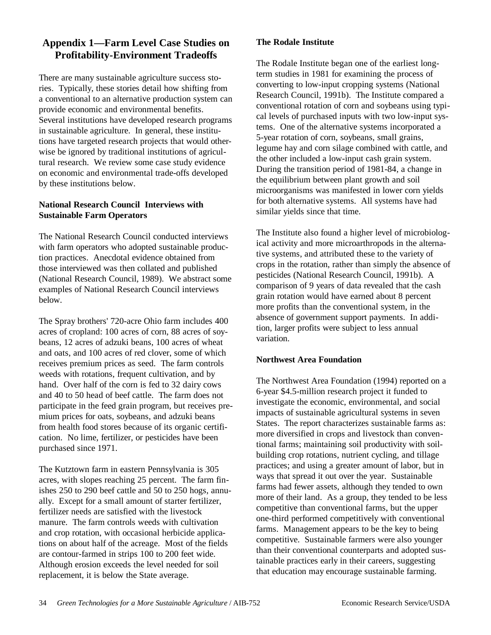# **Appendix 1— Farm Level Case Studies on Profitability-Environment Tradeoffs**

There are many sustainable agriculture success stories. Typically, these stories detail how shifting from a conventional to an alternative production system can provide economic and environmental benefits. Several institutions have developed research programs in sustainable agriculture. In general, these institutions have targeted research projects that would otherwise be ignored by traditional institutions of agricultural research. We review some case study evidence on economic and environmental trade-offs developed by these institutions below.

# **National Research Council Interviews with Sustainable Farm Operators**

The National Research Council conducted interviews with farm operators who adopted sustainable production practices. Anecdotal evidence obtained from those interviewed was then collated and published (National Research Council, 1989). We abstract some examples of National Research Council interviews below.

The Spray brothers' 720-acre Ohio farm includes 400 acres of cropland: 100 acres of corn, 88 acres of soybeans, 12 acres of adzuki beans, 100 acres of wheat and oats, and 100 acres of red clover, some of which receives premium prices as seed. The farm controls weeds with rotations, frequent cultivation, and by hand. Over half of the corn is fed to 32 dairy cows and 40 to 50 head of beef cattle. The farm does not participate in the feed grain program, but receives premium prices for oats, soybeans, and adzuki beans from health food stores because of its organic certification. No lime, fertilizer, or pesticides have been purchased since 1971.

The Kutztown farm in eastern Pennsylvania is 305 acres, with slopes reaching 25 percent. The farm finishes 250 to 290 beef cattle and 50 to 250 hogs, annually. Except for a small amount of starter fertilizer, fertilizer needs are satisfied with the livestock manure. The farm controls weeds with cultivation and crop rotation, with occasional herbicide applications on about half of the acreage. Most of the fields are contour-farmed in strips 100 to 200 feet wide. Although erosion exceeds the level needed for soil replacement, it is below the State average.

## **The Rodale Institute**

The Rodale Institute began one of the earliest longterm studies in 1981 for examining the process of converting to low-input cropping systems (National Research Council, 1991b). The Institute compared a conventional rotation of corn and soybeans using typical levels of purchased inputs with two low-input systems. One of the alternative systems incorporated a 5-year rotation of corn, soybeans, small grains, legume hay and corn silage combined with cattle, and the other included a low-input cash grain system. During the transition period of 1981-84, a change in the equilibrium between plant growth and soil microorganisms was manifested in lower corn yields for both alternative systems. All systems have had similar yields since that time.

The Institute also found a higher level of microbiological activity and more microarthropods in the alternative systems, and attributed these to the variety of crops in the rotation, rather than simply the absence of pesticides (National Research Council, 1991b). A comparison of 9 years of data revealed that the cash grain rotation would have earned about 8 percent more profits than the conventional system, in the absence of government support payments. In addition, larger profits were subject to less annual variation.

#### **Northwest Area Foundation**

The Northwest Area Foundation (1994) reported on a 6-year \$4.5-million research project it funded to investigate the economic, environmental, and social impacts of sustainable agricultural systems in seven States. The report characterizes sustainable farms as: more diversified in crops and livestock than conventional farms; maintaining soil productivity with soilbuilding crop rotations, nutrient cycling, and tillage practices; and using a greater amount of labor, but in ways that spread it out over the year. Sustainable farms had fewer assets, although they tended to own more of their land. As a group, they tended to be less competitive than conventional farms, but the upper one-third performed competitively with conventional farms. Management appears to be the key to being competitive. Sustainable farmers were also younger than their conventional counterparts and adopted sustainable practices early in their careers, suggesting that education may encourage sustainable farming.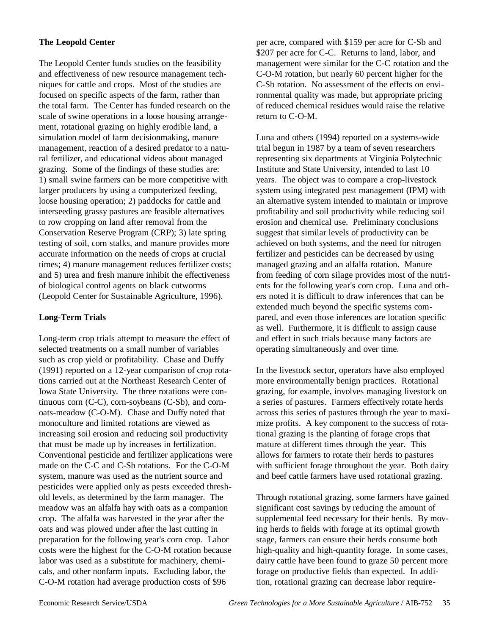# **The Leopold Center**

The Leopold Center funds studies on the feasibility and effectiveness of new resource management techniques for cattle and crops. Most of the studies are focused on specific aspects of the farm, rather than the total farm. The Center has funded research on the scale of swine operations in a loose housing arrangement, rotational grazing on highly erodible land, a simulation model of farm decisionmaking, manure management, reaction of a desired predator to a natural fertilizer, and educational videos about managed grazing. Some of the findings of these studies are: 1) small swine farmers can be more competitive with larger producers by using a computerized feeding, loose housing operation; 2) paddocks for cattle and interseeding grassy pastures are feasible alternatives to row cropping on land after removal from the Conservation Reserve Program (CRP); 3) late spring testing of soil, corn stalks, and manure provides more accurate information on the needs of crops at crucial times; 4) manure management reduces fertilizer costs; and 5) urea and fresh manure inhibit the effectiveness of biological control agents on black cutworms (Leopold Center for Sustainable Agriculture, 1996).

## **Long-Term Trials**

Long-term crop trials attempt to measure the effect of selected treatments on a small number of variables such as crop yield or profitability. Chase and Duffy (1991) reported on a 12-year comparison of crop rotations carried out at the Northeast Research Center of Iowa State University. The three rotations were continuous corn (C-C), corn-soybeans (C-Sb), and cornoats-meadow (C-O-M). Chase and Duffy noted that monoculture and limited rotations are viewed as increasing soil erosion and reducing soil productivity that must be made up by increases in fertilization. Conventional pesticide and fertilizer applications were made on the C-C and C-Sb rotations. For the C-O-M system, manure was used as the nutrient source and pesticides were applied only as pests exceeded threshold levels, as determined by the farm manager. The meadow was an alfalfa hay with oats as a companion crop. The alfalfa was harvested in the year after the oats and was plowed under after the last cutting in preparation for the following year's corn crop. Labor costs were the highest for the C-O-M rotation because labor was used as a substitute for machinery, chemicals, and other nonfarm inputs. Excluding labor, the C-O-M rotation had average production costs of \$96

per acre, compared with \$159 per acre for C-Sb and \$207 per acre for C-C. Returns to land, labor, and management were similar for the C-C rotation and the C-O-M rotation, but nearly 60 percent higher for the C-Sb rotation. No assessment of the effects on environmental quality was made, but appropriate pricing of reduced chemical residues would raise the relative return to C-O-M.

Luna and others (1994) reported on a systems-wide trial begun in 1987 by a team of seven researchers representing six departments at Virginia Polytechnic Institute and State University, intended to last 10 years. The object was to compare a crop-livestock system using integrated pest management (IPM) with an alternative system intended to maintain or improve profitability and soil productivity while reducing soil erosion and chemical use. Preliminary conclusions suggest that similar levels of productivity can be achieved on both systems, and the need for nitrogen fertilizer and pesticides can be decreased by using managed grazing and an alfalfa rotation. Manure from feeding of corn silage provides most of the nutrients for the following year's corn crop. Luna and others noted it is difficult to draw inferences that can be extended much beyond the specific systems compared, and even those inferences are location specific as well. Furthermore, it is difficult to assign cause and effect in such trials because many factors are operating simultaneously and over time.

In the livestock sector, operators have also employed more environmentally benign practices. Rotational grazing, for example, involves managing livestock on a series of pastures. Farmers effectively rotate herds across this series of pastures through the year to maximize profits. A key component to the success of rotational grazing is the planting of forage crops that mature at different times through the year. This allows for farmers to rotate their herds to pastures with sufficient forage throughout the year. Both dairy and beef cattle farmers have used rotational grazing.

Through rotational grazing, some farmers have gained significant cost savings by reducing the amount of supplemental feed necessary for their herds. By moving herds to fields with forage at its optimal growth stage, farmers can ensure their herds consume both high-quality and high-quantity forage. In some cases, dairy cattle have been found to graze 50 percent more forage on productive fields than expected. In addition, rotational grazing can decrease labor require-